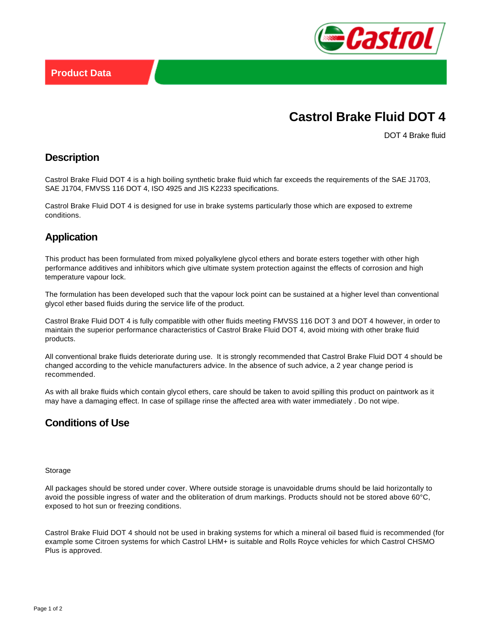

# **Castrol Brake Fluid DOT 4**

DOT 4 Brake fluid

#### **Description**

Castrol Brake Fluid DOT 4 is a high boiling synthetic brake fluid which far exceeds the requirements of the SAE J1703, SAE J1704, FMVSS 116 DOT 4, ISO 4925 and JIS K2233 specifications.

Castrol Brake Fluid DOT 4 is designed for use in brake systems particularly those which are exposed to extreme conditions.

### **Application**

This product has been formulated from mixed polyalkylene glycol ethers and borate esters together with other high performance additives and inhibitors which give ultimate system protection against the effects of corrosion and high temperature vapour lock.

The formulation has been developed such that the vapour lock point can be sustained at a higher level than conventional glycol ether based fluids during the service life of the product.

Castrol Brake Fluid DOT 4 is fully compatible with other fluids meeting FMVSS 116 DOT 3 and DOT 4 however, in order to maintain the superior performance characteristics of Castrol Brake Fluid DOT 4, avoid mixing with other brake fluid products.

All conventional brake fluids deteriorate during use. It is strongly recommended that Castrol Brake Fluid DOT 4 should be changed according to the vehicle manufacturers advice. In the absence of such advice, a 2 year change period is recommended.

As with all brake fluids which contain glycol ethers, care should be taken to avoid spilling this product on paintwork as it may have a damaging effect. In case of spillage rinse the affected area with water immediately . Do not wipe.

## **Conditions of Use**

#### Storage

All packages should be stored under cover. Where outside storage is unavoidable drums should be laid horizontally to avoid the possible ingress of water and the obliteration of drum markings. Products should not be stored above 60°C, exposed to hot sun or freezing conditions.

Castrol Brake Fluid DOT 4 should not be used in braking systems for which a mineral oil based fluid is recommended (for example some Citroen systems for which Castrol LHM+ is suitable and Rolls Royce vehicles for which Castrol CHSMO Plus is approved.